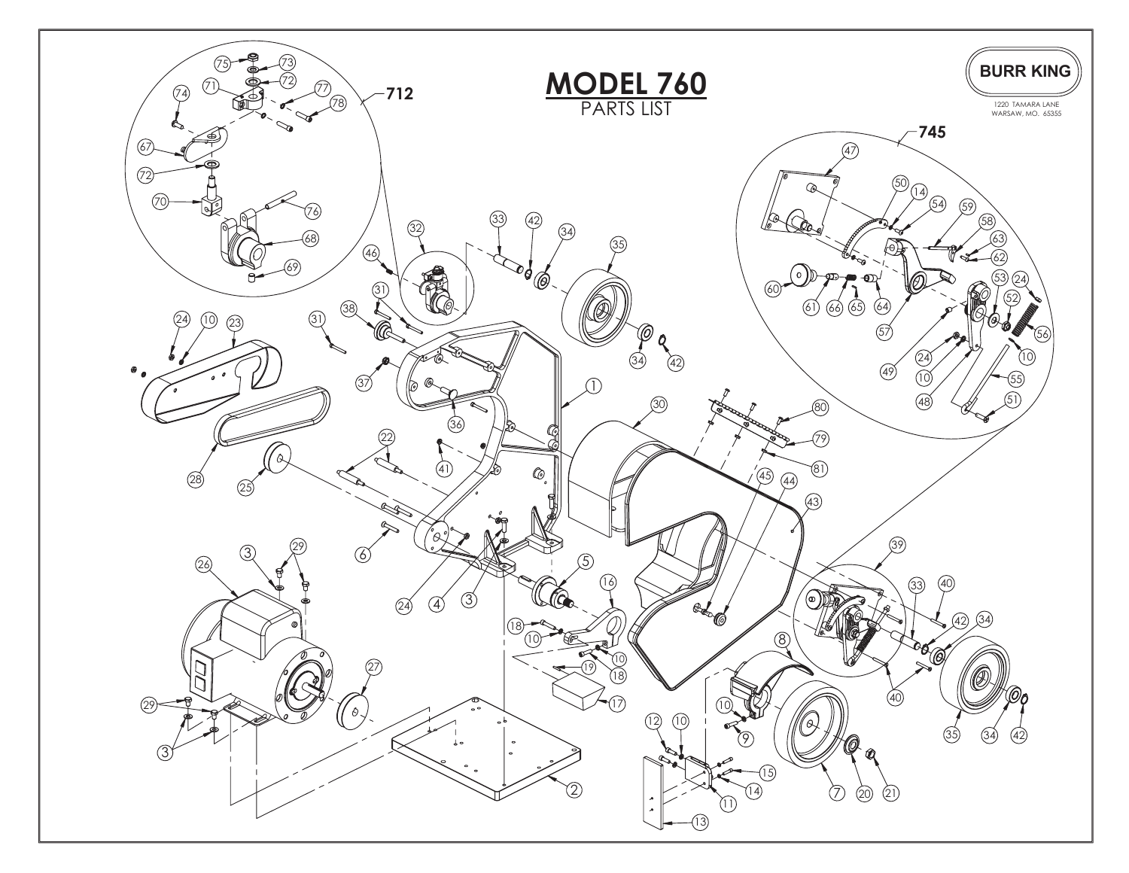